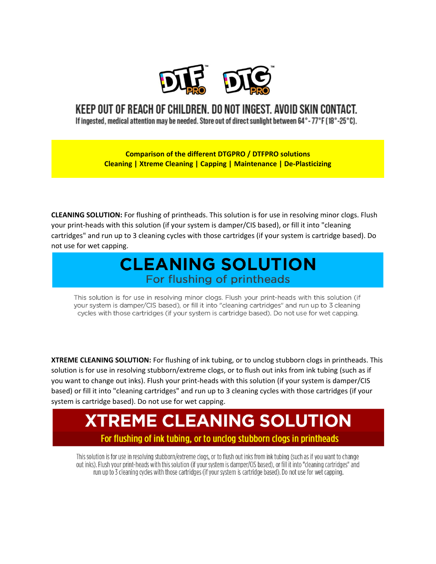

#### KEEP OUT OF REACH OF CHILDREN. DO NOT INGEST. AVOID SKIN CONTACT.

If ingested, medical attention may be needed. Store out of direct sunlight between 64 $^{\circ}$ -77 $^{\circ}$ F (18 $^{\circ}$ -25 $^{\circ}$ C).

**Comparison of the different DTGPRO / DTFPRO solutions Cleaning | Xtreme Cleaning | Capping | Maintenance | De-Plasticizing**

**CLEANING SOLUTION:** For flushing of printheads. This solution is for use in resolving minor clogs. Flush your print-heads with this solution (if your system is damper/CIS based), or fill it into "cleaning cartridges" and run up to 3 cleaning cycles with those cartridges (if your system is cartridge based). Do not use for wet capping.

#### **CLEANING SOLUTION** For flushing of printheads

This solution is for use in resolving minor clogs. Flush your print-heads with this solution (if your system is damper/CIS based), or fill it into "cleaning cartridges" and run up to 3 cleaning cycles with those cartridges (if your system is cartridge based). Do not use for wet capping.

**XTREME CLEANING SOLUTION:** For flushing of ink tubing, or to unclog stubborn clogs in printheads. This solution is for use in resolving stubborn/extreme clogs, or to flush out inks from ink tubing (such as if you want to change out inks). Flush your print-heads with this solution (if your system is damper/CIS based) or fill it into "cleaning cartridges" and run up to 3 cleaning cycles with those cartridges (if your system is cartridge based). Do not use for wet capping.

## **XTREME CLEANING SOLUTION** For flushing of ink tubing, or to unclog stubborn clogs in printheads

This solution is for use in resolving stubborn/extreme clogs, or to flush out inks from ink tubing (such as if you want to change out inks). Flush your print-heads with this solution (if your system is damper/CIS based), or fill it into "cleaning cartridges" and run up to 3 cleaning cycles with those cartridges (if your system is cartridge based). Do not use for wet capping,